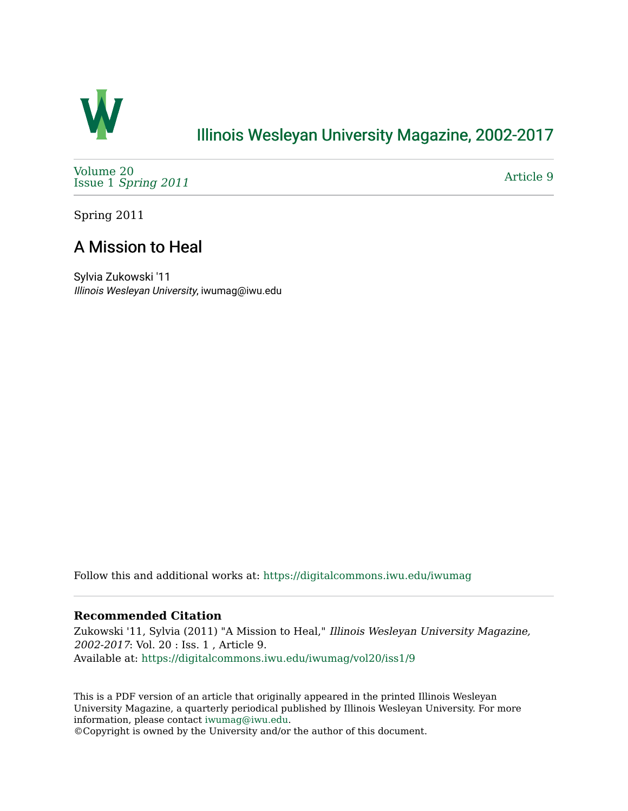

## [Illinois Wesleyan University Magazine, 2002-2017](https://digitalcommons.iwu.edu/iwumag)

[Volume 20](https://digitalcommons.iwu.edu/iwumag/vol20)  Issue 1 [Spring 2011](https://digitalcommons.iwu.edu/iwumag/vol20/iss1)

[Article 9](https://digitalcommons.iwu.edu/iwumag/vol20/iss1/9) 

Spring 2011

# A Mission to Heal

Sylvia Zukowski '11 Illinois Wesleyan University, iwumag@iwu.edu

Follow this and additional works at: [https://digitalcommons.iwu.edu/iwumag](https://digitalcommons.iwu.edu/iwumag?utm_source=digitalcommons.iwu.edu%2Fiwumag%2Fvol20%2Fiss1%2F9&utm_medium=PDF&utm_campaign=PDFCoverPages) 

## **Recommended Citation**

Zukowski '11, Sylvia (2011) "A Mission to Heal," Illinois Wesleyan University Magazine, 2002-2017: Vol. 20 : Iss. 1 , Article 9. Available at: [https://digitalcommons.iwu.edu/iwumag/vol20/iss1/9](https://digitalcommons.iwu.edu/iwumag/vol20/iss1/9?utm_source=digitalcommons.iwu.edu%2Fiwumag%2Fvol20%2Fiss1%2F9&utm_medium=PDF&utm_campaign=PDFCoverPages)

This is a PDF version of an article that originally appeared in the printed Illinois Wesleyan University Magazine, a quarterly periodical published by Illinois Wesleyan University. For more information, please contact [iwumag@iwu.edu](mailto:iwumag@iwu.edu).

©Copyright is owned by the University and/or the author of this document.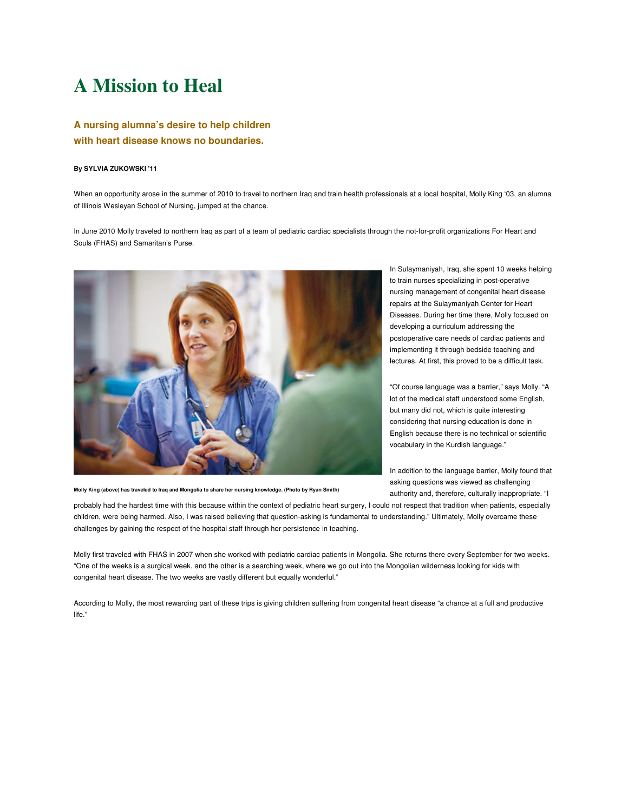# **A Mission to Heal**

### **A nursing alumna's desire to help children with heart disease knows no boundaries.**

#### **By SYLVIA ZUKOWSKI '11**

When an opportunity arose in the summer of 2010 to travel to northern Iraq and train health professionals at a local hospital, Molly King '03, an alumna of Illinois Wesleyan School of Nursing, jumped at the chance.

In June 2010 Molly traveled to northern Iraq as part of a team of pediatric cardiac specialists through the not-for-profit organizations For Heart and Souls (FHAS) and Samaritan's Purse.



**Molly King (above) has traveled to Iraq and Mongolia to share her nursing knowledge. (Photo by Ryan Smith)**

In Sulaymaniyah, Iraq, she spent 10 weeks helping to train nurses specializing in post-operative nursing management of congenital heart disease repairs at the Sulaymaniyah Center for Heart Diseases. During her time there, Molly focused on developing a curriculum addressing the postoperative care needs of cardiac patients and implementing it through bedside teaching and lectures. At first, this proved to be a difficult task.

"Of course language was a barrier," says Molly. "A lot of the medical staff understood some English, but many did not, which is quite interesting considering that nursing education is done in English because there is no technical or scientific vocabulary in the Kurdish language."

In addition to the language barrier, Molly found that asking questions was viewed as challenging authority and, therefore, culturally inappropriate. "I

probably had the hardest time with this because within the context of pediatric heart surgery, I could not respect that tradition when patients, especially children, were being harmed. Also, I was raised believing that question-asking is fundamental to understanding." Ultimately, Molly overcame these challenges by gaining the respect of the hospital staff through her persistence in teaching.

Molly first traveled with FHAS in 2007 when she worked with pediatric cardiac patients in Mongolia. She returns there every September for two weeks. "One of the weeks is a surgical week, and the other is a searching week, where we go out into the Mongolian wilderness looking for kids with congenital heart disease. The two weeks are vastly different but equally wonderful."

According to Molly, the most rewarding part of these trips is giving children suffering from congenital heart disease "a chance at a full and productive life."